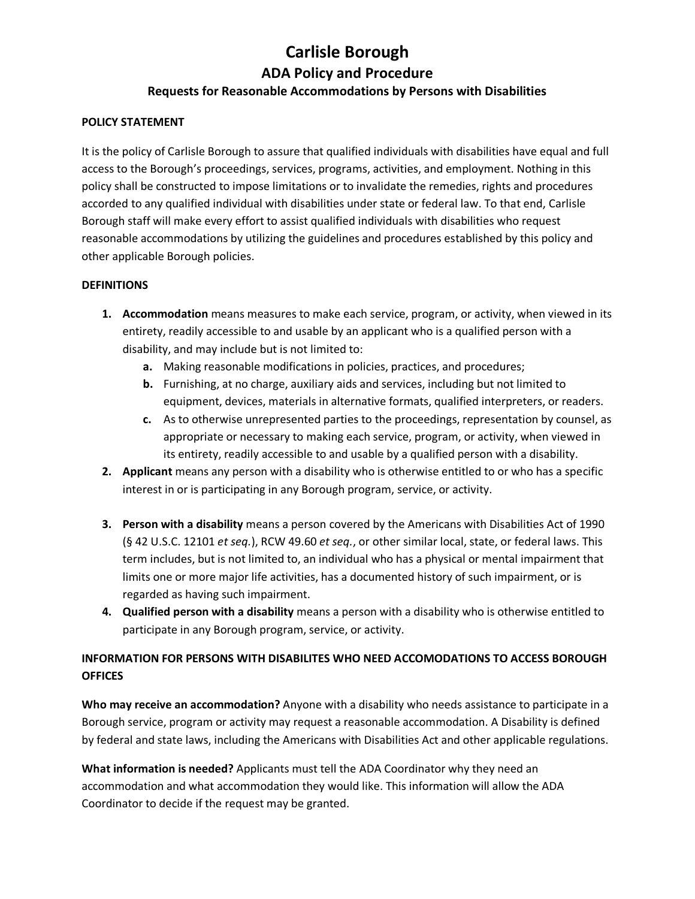#### **POLICY STATEMENT**

It is the policy of Carlisle Borough to assure that qualified individuals with disabilities have equal and full access to the Borough's proceedings, services, programs, activities, and employment. Nothing in this policy shall be constructed to impose limitations or to invalidate the remedies, rights and procedures accorded to any qualified individual with disabilities under state or federal law. To that end, Carlisle Borough staff will make every effort to assist qualified individuals with disabilities who request reasonable accommodations by utilizing the guidelines and procedures established by this policy and other applicable Borough policies.

#### **DEFINITIONS**

- **1. Accommodation** means measures to make each service, program, or activity, when viewed in its entirety, readily accessible to and usable by an applicant who is a qualified person with a disability, and may include but is not limited to:
	- **a.** Making reasonable modifications in policies, practices, and procedures;
	- **b.** Furnishing, at no charge, auxiliary aids and services, including but not limited to equipment, devices, materials in alternative formats, qualified interpreters, or readers.
	- **c.** As to otherwise unrepresented parties to the proceedings, representation by counsel, as appropriate or necessary to making each service, program, or activity, when viewed in its entirety, readily accessible to and usable by a qualified person with a disability.
- **2. Applicant** means any person with a disability who is otherwise entitled to or who has a specific interest in or is participating in any Borough program, service, or activity.
- **3. Person with a disability** means a person covered by the Americans with Disabilities Act of 1990 (§ 42 U.S.C. 12101 *et seq.*), RCW 49.60 *et seq.*, or other similar local, state, or federal laws. This term includes, but is not limited to, an individual who has a physical or mental impairment that limits one or more major life activities, has a documented history of such impairment, or is regarded as having such impairment.
- **4. Qualified person with a disability** means a person with a disability who is otherwise entitled to participate in any Borough program, service, or activity.

## **INFORMATION FOR PERSONS WITH DISABILITES WHO NEED ACCOMODATIONS TO ACCESS BOROUGH OFFICES**

**Who may receive an accommodation?** Anyone with a disability who needs assistance to participate in a Borough service, program or activity may request a reasonable accommodation. A Disability is defined by federal and state laws, including the Americans with Disabilities Act and other applicable regulations.

**What information is needed?** Applicants must tell the ADA Coordinator why they need an accommodation and what accommodation they would like. This information will allow the ADA Coordinator to decide if the request may be granted.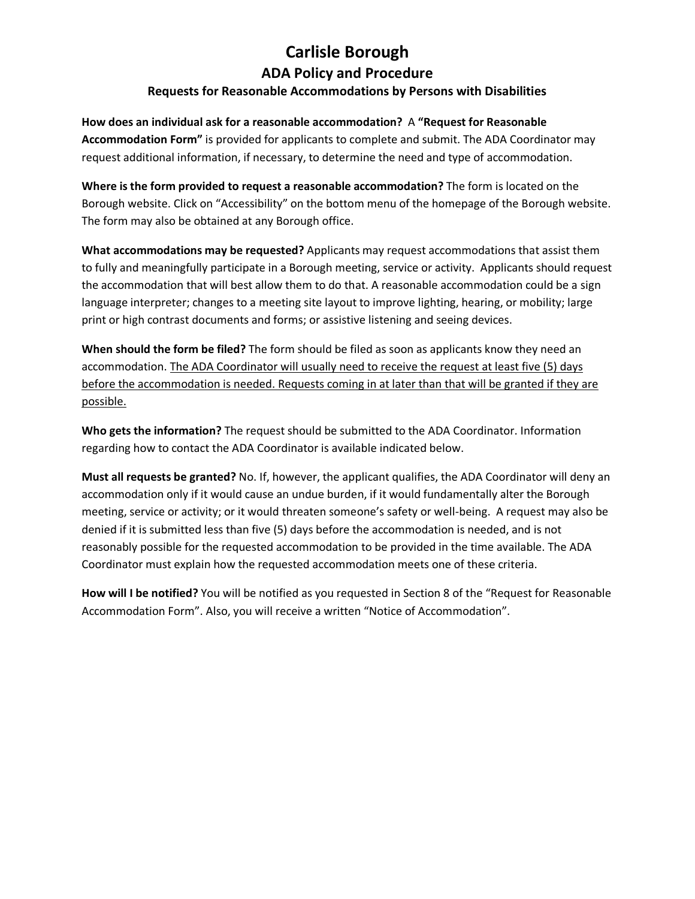**How does an individual ask for a reasonable accommodation?** A **"Request for Reasonable Accommodation Form"** is provided for applicants to complete and submit. The ADA Coordinator may request additional information, if necessary, to determine the need and type of accommodation.

**Where is the form provided to request a reasonable accommodation?** The form is located on the Borough website. Click on "Accessibility" on the bottom menu of the homepage of the Borough website. The form may also be obtained at any Borough office.

**What accommodations may be requested?** Applicants may request accommodations that assist them to fully and meaningfully participate in a Borough meeting, service or activity. Applicants should request the accommodation that will best allow them to do that. A reasonable accommodation could be a sign language interpreter; changes to a meeting site layout to improve lighting, hearing, or mobility; large print or high contrast documents and forms; or assistive listening and seeing devices.

**When should the form be filed?** The form should be filed as soon as applicants know they need an accommodation. The ADA Coordinator will usually need to receive the request at least five (5) days before the accommodation is needed. Requests coming in at later than that will be granted if they are possible.

**Who gets the information?** The request should be submitted to the ADA Coordinator. Information regarding how to contact the ADA Coordinator is available indicated below.

**Must all requests be granted?** No. If, however, the applicant qualifies, the ADA Coordinator will deny an accommodation only if it would cause an undue burden, if it would fundamentally alter the Borough meeting, service or activity; or it would threaten someone's safety or well-being. A request may also be denied if it is submitted less than five (5) days before the accommodation is needed, and is not reasonably possible for the requested accommodation to be provided in the time available. The ADA Coordinator must explain how the requested accommodation meets one of these criteria.

**How will I be notified?** You will be notified as you requested in Section 8 of the "Request for Reasonable Accommodation Form". Also, you will receive a written "Notice of Accommodation".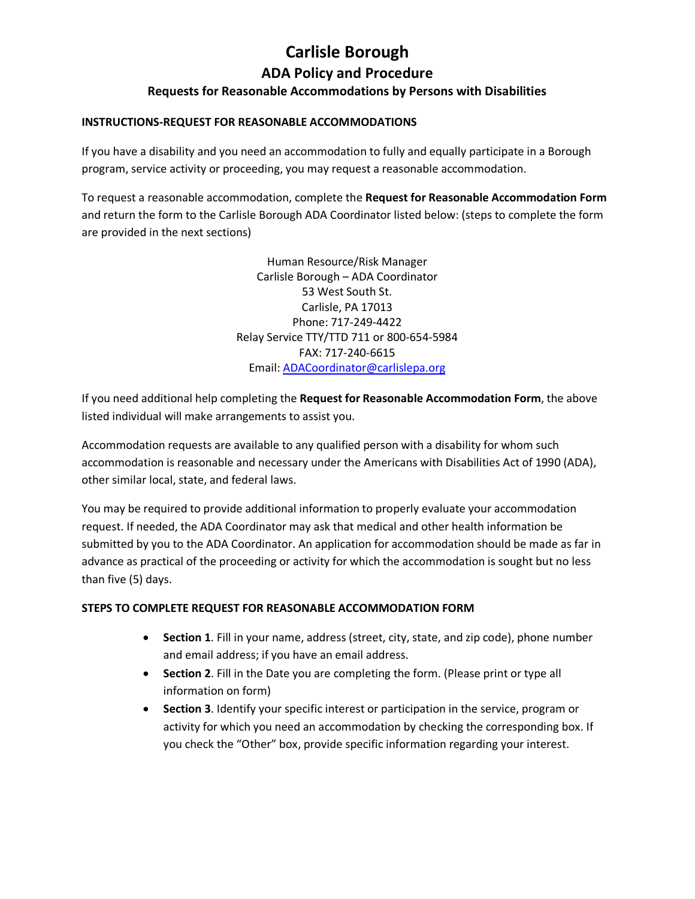#### **INSTRUCTIONS-REQUEST FOR REASONABLE ACCOMMODATIONS**

If you have a disability and you need an accommodation to fully and equally participate in a Borough program, service activity or proceeding, you may request a reasonable accommodation.

To request a reasonable accommodation, complete the **Request for Reasonable Accommodation Form** and return the form to the Carlisle Borough ADA Coordinator listed below: (steps to complete the form are provided in the next sections)

> Human Resource/Risk Manager Carlisle Borough – ADA Coordinator 53 West South St. Carlisle, PA 17013 Phone: 717-249-4422 Relay Service TTY/TTD 711 or 800-654-5984 FAX: 717-240-6615 Email[: ADACoordinator@carlislepa.org](mailto:ADACoordinator@carlislepa.org)

If you need additional help completing the **Request for Reasonable Accommodation Form**, the above listed individual will make arrangements to assist you.

Accommodation requests are available to any qualified person with a disability for whom such accommodation is reasonable and necessary under the Americans with Disabilities Act of 1990 (ADA), other similar local, state, and federal laws.

You may be required to provide additional information to properly evaluate your accommodation request. If needed, the ADA Coordinator may ask that medical and other health information be submitted by you to the ADA Coordinator. An application for accommodation should be made as far in advance as practical of the proceeding or activity for which the accommodation is sought but no less than five (5) days.

#### **STEPS TO COMPLETE REQUEST FOR REASONABLE ACCOMMODATION FORM**

- **Section 1**. Fill in your name, address (street, city, state, and zip code), phone number and email address; if you have an email address.
- **Section 2**. Fill in the Date you are completing the form. (Please print or type all information on form)
- **Section 3**. Identify your specific interest or participation in the service, program or activity for which you need an accommodation by checking the corresponding box. If you check the "Other" box, provide specific information regarding your interest.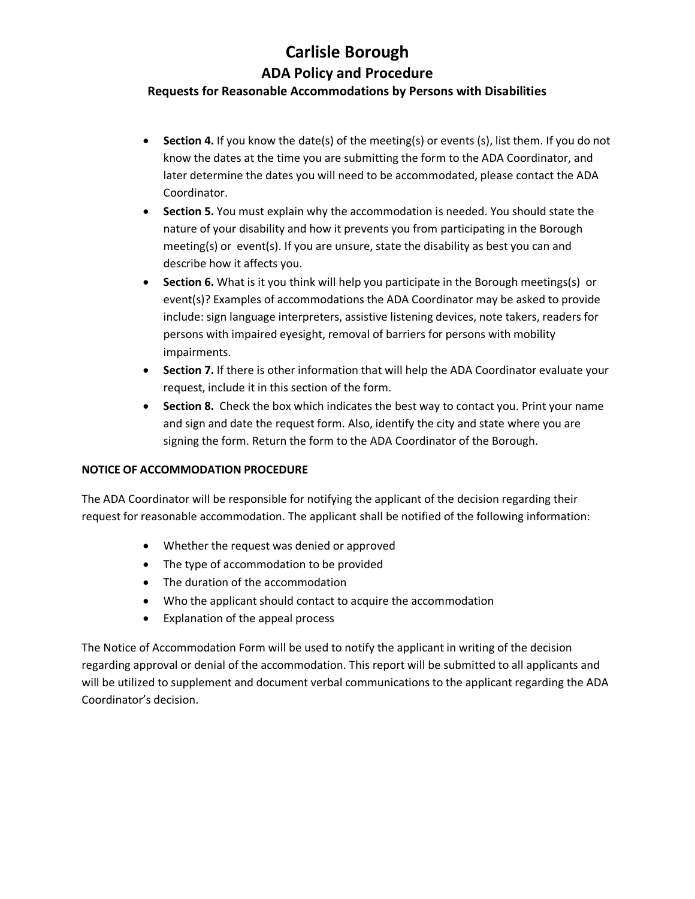# **Carlisle Borough ADA Policy and Procedure**

## **Requests for Reasonable Accommodations by Persons with Disabilities**

- **Section 4.** If you know the date(s) of the meeting(s) or events (s), list them. If you do not know the dates at the time you are submitting the form to the ADA Coordinator, and later determine the dates you will need to be accommodated, please contact the ADA Coordinator.
- **Section 5.** You must explain why the accommodation is needed. You should state the nature of your disability and how it prevents you from participating in the Borough meeting(s) or event(s). If you are unsure, state the disability as best you can and describe how it affects you.
- **Section 6.** What is it you think will help you participate in the Borough meetings(s) or event(s)? Examples of accommodations the ADA Coordinator may be asked to provide include: sign language interpreters, assistive listening devices, note takers, readers for persons with impaired eyesight, removal of barriers for persons with mobility impairments.
- **Section 7.** If there is other information that will help the ADA Coordinator evaluate your request, include it in this section of the form.
- **Section 8.** Check the box which indicates the best way to contact you. Print your name and sign and date the request form. Also, identify the city and state where you are signing the form. Return the form to the ADA Coordinator of the Borough.

#### **NOTICE OF ACCOMMODATION PROCEDURE**

The ADA Coordinator will be responsible for notifying the applicant of the decision regarding their request for reasonable accommodation. The applicant shall be notified of the following information:

- Whether the request was denied or approved
- The type of accommodation to be provided
- The duration of the accommodation
- Who the applicant should contact to acquire the accommodation
- Explanation of the appeal process

The Notice of Accommodation Form will be used to notify the applicant in writing of the decision regarding approval or denial of the accommodation. This report will be submitted to all applicants and will be utilized to supplement and document verbal communications to the applicant regarding the ADA Coordinator's decision.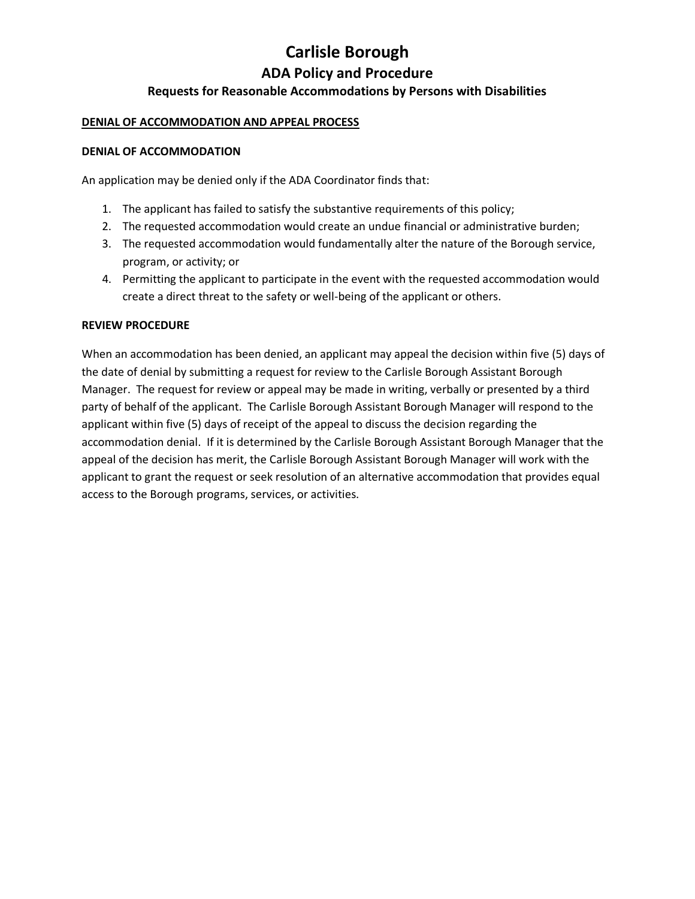#### **DENIAL OF ACCOMMODATION AND APPEAL PROCESS**

#### **DENIAL OF ACCOMMODATION**

An application may be denied only if the ADA Coordinator finds that:

- 1. The applicant has failed to satisfy the substantive requirements of this policy;
- 2. The requested accommodation would create an undue financial or administrative burden;
- 3. The requested accommodation would fundamentally alter the nature of the Borough service, program, or activity; or
- 4. Permitting the applicant to participate in the event with the requested accommodation would create a direct threat to the safety or well-being of the applicant or others.

#### **REVIEW PROCEDURE**

When an accommodation has been denied, an applicant may appeal the decision within five (5) days of the date of denial by submitting a request for review to the Carlisle Borough Assistant Borough Manager. The request for review or appeal may be made in writing, verbally or presented by a third party of behalf of the applicant. The Carlisle Borough Assistant Borough Manager will respond to the applicant within five (5) days of receipt of the appeal to discuss the decision regarding the accommodation denial. If it is determined by the Carlisle Borough Assistant Borough Manager that the appeal of the decision has merit, the Carlisle Borough Assistant Borough Manager will work with the applicant to grant the request or seek resolution of an alternative accommodation that provides equal access to the Borough programs, services, or activities.